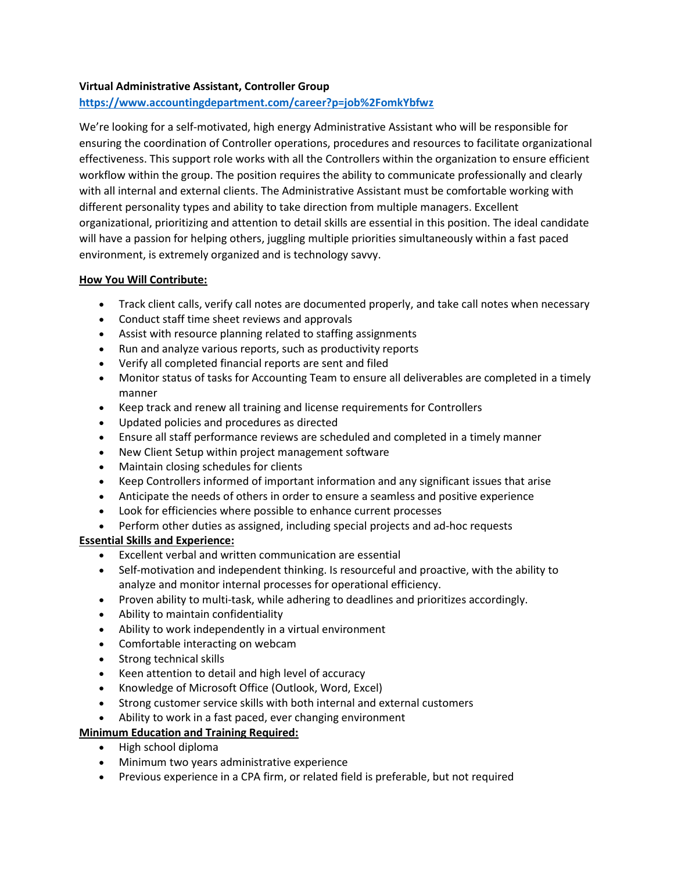### Virtual Administrative Assistant, Controller Group

# https://www.accountingdepartment.com/career?p=job%2FomkYbfwz

We're looking for a self-motivated, high energy Administrative Assistant who will be responsible for ensuring the coordination of Controller operations, procedures and resources to facilitate organizational effectiveness. This support role works with all the Controllers within the organization to ensure efficient workflow within the group. The position requires the ability to communicate professionally and clearly with all internal and external clients. The Administrative Assistant must be comfortable working with different personality types and ability to take direction from multiple managers. Excellent organizational, prioritizing and attention to detail skills are essential in this position. The ideal candidate will have a passion for helping others, juggling multiple priorities simultaneously within a fast paced environment, is extremely organized and is technology savvy.

#### How You Will Contribute:

- Track client calls, verify call notes are documented properly, and take call notes when necessary
- Conduct staff time sheet reviews and approvals
- Assist with resource planning related to staffing assignments
- Run and analyze various reports, such as productivity reports
- Verify all completed financial reports are sent and filed
- Monitor status of tasks for Accounting Team to ensure all deliverables are completed in a timely manner
- Keep track and renew all training and license requirements for Controllers
- Updated policies and procedures as directed
- Ensure all staff performance reviews are scheduled and completed in a timely manner
- New Client Setup within project management software
- Maintain closing schedules for clients
- Keep Controllers informed of important information and any significant issues that arise
- Anticipate the needs of others in order to ensure a seamless and positive experience
- Look for efficiencies where possible to enhance current processes
- Perform other duties as assigned, including special projects and ad-hoc requests

#### Essential Skills and Experience:

- Excellent verbal and written communication are essential
- Self-motivation and independent thinking. Is resourceful and proactive, with the ability to analyze and monitor internal processes for operational efficiency.
- Proven ability to multi-task, while adhering to deadlines and prioritizes accordingly.
- Ability to maintain confidentiality
- Ability to work independently in a virtual environment
- Comfortable interacting on webcam
- Strong technical skills
- Keen attention to detail and high level of accuracy
- Knowledge of Microsoft Office (Outlook, Word, Excel)
- Strong customer service skills with both internal and external customers
- Ability to work in a fast paced, ever changing environment

# Minimum Education and Training Required:

- High school diploma
- Minimum two years administrative experience
- Previous experience in a CPA firm, or related field is preferable, but not required